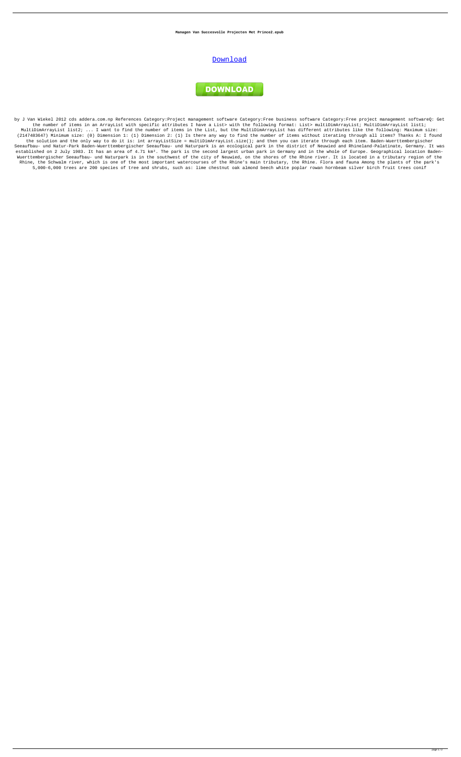**Managen Van Succesvolle Projecten Met Prince2.epub**

## [Download](http://evacdir.com/casanovas/christos/kelvinator/TWFuYWdlbiBWYW4gU3VjY2Vzdm9sbGUgUHJvamVjdGVuIE1ldCBQcmluY2UyLmVwdWITWF/ZG93bmxvYWR8OFh2TVRsa2NueDhNVFkxTWpjME1EZzJObng4TWpVM05IeDhLRTBwSUhKbFlXUXRZbXh2WnlCYlJtRnpkQ0JIUlU1ZA.koichi?shopped=banda/transparently)

## DOWNLOAD

by J Van Wiekel 2012 cds addera.com.np References Category:Project management software Category:Free business software Category:Free project management softwareQ: Get the number of items in an ArrayList with specific attributes I have a List> with the following format: List> multiDimArrayList; MultiDimArrayList list1; MultiDimArrayList list2; ... I want to find the number of items in the List, but the MultiDimArrayList has different attributes like the following: Maximum size: (2147483647) Minimum size: (0) Dimension 1: (1) Dimension 2: (1) Is there any way to find the number of items without iterating through all items? Thanks A: I found the solution and the only way to do it is: int arrayListSize = multiDimArrayList.size(); and then you can iterate through each item. Baden-Wuerttembergischer Seeaufbau- und Natur-Park Baden-Wuerttembergischer Seeaufbau- und Naturpark is an ecological park in the district of Neuwied and Rhineland-Palatinate, Germany. It was established on 2 July 1983. It has an area of 4.71 km<sup>2</sup>. The park is the second largest urban park in Germany and in the whole of Europe. Geographical location Baden-Wuerttembergischer Seeaufbau- und Naturpark is in the southwest of the city of Neuwied, on the shores of the Rhine river. It is located in a tributary region of the Rhine, the Schwalm river, which is one of the most important watercourses of the Rhine's main tributary, the Rhine. Flora and fauna Among the plants of the park's 5,000-6,000 trees are 200 species of tree and shrubs, such as: lime chestnut oak almond beech white poplar rowan hornbeam silver birch fruit trees conif